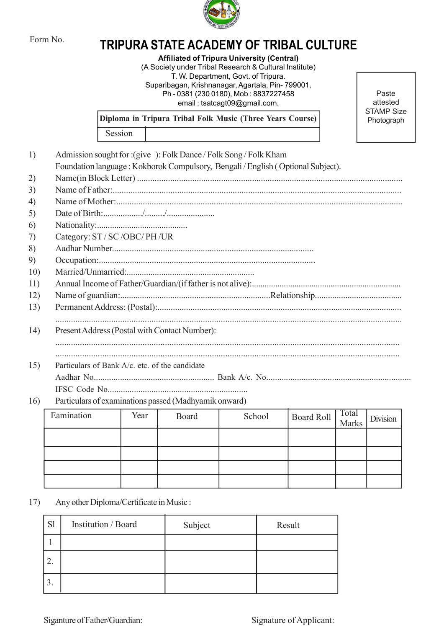

## Form No. **TRIPURA STATE ACADEMY OF TRIBAL CULTURE**

TRIPURA STATE ACADEMY OF TRIBAL CULTURE<br>
Affiliated of Tripura University (Central)<br>
(A Society under Tribal Research & Cultural Institute)<br>
T. W. Department, Govt. of Tripura.<br>
Suparibagan, Krishanangar, Agartala, Pin- 79 Affiliated of Tripura University (Central) (A Society under Tribal Research & Cultural Institute) T. W. Department, Govt. of Tripura. STATE ACADEMY OF TRIBAL CULTURE<br>
Affiliated of Tripura University (Central)<br>
A Society under Tribal Research & Cultural Institute)<br>
T. W. Department, Govt. of Tripura.<br>
Suparibagan, Krishnanagar, Agartala, Pin- 799001.<br>
Ph Ph - 0381 (230 0180), Mob : 8837227458 email : tsatcagt09@gmail.com.

| <b>Affiliated of Tripura University (Central)</b><br>(A Society under Tribal Research & Cultural Institute)<br>T. W. Department, Govt. of Tripura.<br>Suparibagan, Krishnanagar, Agartala, Pin-799001.<br>Ph - 0381 (230 0180), Mob: 8837227458<br>Paste<br>attested<br>email: tsatcagt09@gmail.com.<br><b>STAMP Size</b><br>Diploma in Tripura Tribal Folk Music (Three Years Course)<br>Session<br>1)<br>Admission sought for : (give ): Folk Dance / Folk Song / Folk Kham<br>Foundation language: Kokborok Compulsory, Bengali / English (Optional Subject).<br>2)<br>3)<br>4)<br>5)<br>6)<br>Category: ST / SC / OBC/ PH / UR<br>7)<br>8)<br>9)<br>10)<br>11)<br>12)<br>13)<br>14)<br>Present Address (Postal with Contact Number):<br>15)<br>Particulars of Bank A/c. etc. of the candidate<br>Particulars of examinations passed (Madhyamik onward)<br>Total<br>Eamination<br>Year<br>Board<br>School<br><b>Board Roll</b><br>Division<br>Marks<br>Any other Diploma/Certificate in Music:<br>S1<br>Institution / Board<br>Subject<br>Result<br>1<br>2. | Form No. |  |  |  | TRIPURA STATE ACADEMY OF TRIBAL CULTURE |  |  |  |
|----------------------------------------------------------------------------------------------------------------------------------------------------------------------------------------------------------------------------------------------------------------------------------------------------------------------------------------------------------------------------------------------------------------------------------------------------------------------------------------------------------------------------------------------------------------------------------------------------------------------------------------------------------------------------------------------------------------------------------------------------------------------------------------------------------------------------------------------------------------------------------------------------------------------------------------------------------------------------------------------------------------------------------------------------------------|----------|--|--|--|-----------------------------------------|--|--|--|
|                                                                                                                                                                                                                                                                                                                                                                                                                                                                                                                                                                                                                                                                                                                                                                                                                                                                                                                                                                                                                                                                |          |  |  |  |                                         |  |  |  |
|                                                                                                                                                                                                                                                                                                                                                                                                                                                                                                                                                                                                                                                                                                                                                                                                                                                                                                                                                                                                                                                                |          |  |  |  | Photograph                              |  |  |  |
|                                                                                                                                                                                                                                                                                                                                                                                                                                                                                                                                                                                                                                                                                                                                                                                                                                                                                                                                                                                                                                                                |          |  |  |  |                                         |  |  |  |
|                                                                                                                                                                                                                                                                                                                                                                                                                                                                                                                                                                                                                                                                                                                                                                                                                                                                                                                                                                                                                                                                |          |  |  |  |                                         |  |  |  |
|                                                                                                                                                                                                                                                                                                                                                                                                                                                                                                                                                                                                                                                                                                                                                                                                                                                                                                                                                                                                                                                                | 16)      |  |  |  |                                         |  |  |  |
|                                                                                                                                                                                                                                                                                                                                                                                                                                                                                                                                                                                                                                                                                                                                                                                                                                                                                                                                                                                                                                                                |          |  |  |  |                                         |  |  |  |
|                                                                                                                                                                                                                                                                                                                                                                                                                                                                                                                                                                                                                                                                                                                                                                                                                                                                                                                                                                                                                                                                |          |  |  |  |                                         |  |  |  |
|                                                                                                                                                                                                                                                                                                                                                                                                                                                                                                                                                                                                                                                                                                                                                                                                                                                                                                                                                                                                                                                                |          |  |  |  |                                         |  |  |  |
|                                                                                                                                                                                                                                                                                                                                                                                                                                                                                                                                                                                                                                                                                                                                                                                                                                                                                                                                                                                                                                                                |          |  |  |  |                                         |  |  |  |
|                                                                                                                                                                                                                                                                                                                                                                                                                                                                                                                                                                                                                                                                                                                                                                                                                                                                                                                                                                                                                                                                |          |  |  |  |                                         |  |  |  |
|                                                                                                                                                                                                                                                                                                                                                                                                                                                                                                                                                                                                                                                                                                                                                                                                                                                                                                                                                                                                                                                                | 17)      |  |  |  |                                         |  |  |  |
|                                                                                                                                                                                                                                                                                                                                                                                                                                                                                                                                                                                                                                                                                                                                                                                                                                                                                                                                                                                                                                                                |          |  |  |  |                                         |  |  |  |
|                                                                                                                                                                                                                                                                                                                                                                                                                                                                                                                                                                                                                                                                                                                                                                                                                                                                                                                                                                                                                                                                |          |  |  |  |                                         |  |  |  |
|                                                                                                                                                                                                                                                                                                                                                                                                                                                                                                                                                                                                                                                                                                                                                                                                                                                                                                                                                                                                                                                                |          |  |  |  |                                         |  |  |  |
|                                                                                                                                                                                                                                                                                                                                                                                                                                                                                                                                                                                                                                                                                                                                                                                                                                                                                                                                                                                                                                                                |          |  |  |  |                                         |  |  |  |

| Eamination | Year | Board | School | $\cdot$   Board Roll $\begin{array}{ c c c c c } \hline \text{Total} & \text{Division} & \text{Division} \end{array}$ |  |
|------------|------|-------|--------|-----------------------------------------------------------------------------------------------------------------------|--|
|            |      |       |        |                                                                                                                       |  |
|            |      |       |        |                                                                                                                       |  |
|            |      |       |        |                                                                                                                       |  |
|            |      |       |        |                                                                                                                       |  |

|              | Any other Diploma/Certificate in Music: |  |         |                         |  |  |
|--------------|-----------------------------------------|--|---------|-------------------------|--|--|
| S1           | Institution / Board                     |  | Subject | Result                  |  |  |
| $\mathbf{1}$ |                                         |  |         |                         |  |  |
| 2.           |                                         |  |         |                         |  |  |
| 3.           |                                         |  |         |                         |  |  |
|              |                                         |  |         |                         |  |  |
|              | Siganture of Father/Guardian:           |  |         | Signature of Applicant: |  |  |